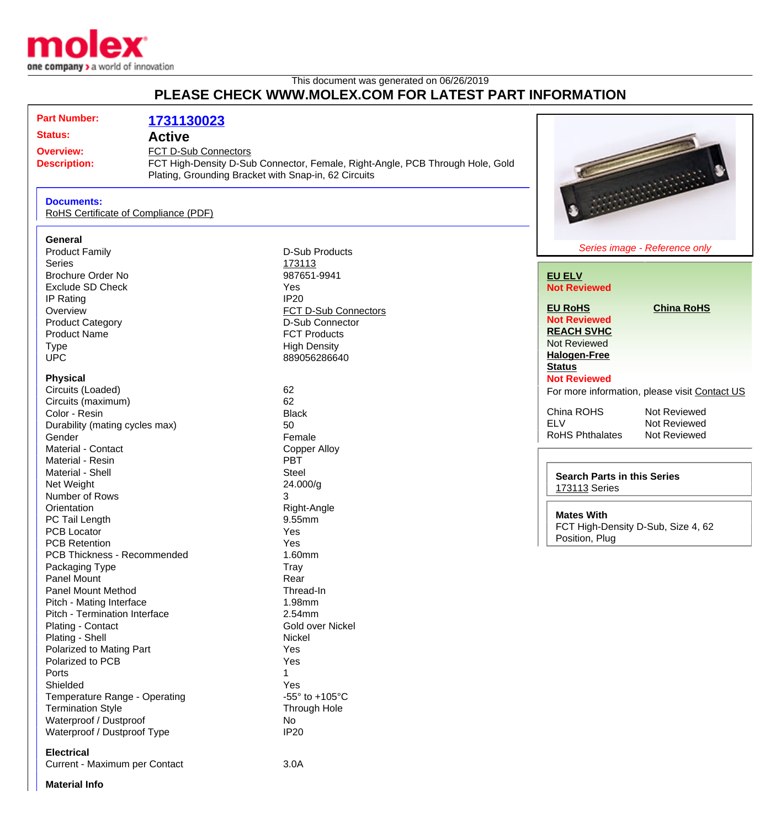

## This document was generated on 06/26/2019 **PLEASE CHECK WWW.MOLEX.COM FOR LATEST PART INFORMATION**

| <b>Part Number:</b>                     | 1731130023                                                                                                                            |                                   |                                               |
|-----------------------------------------|---------------------------------------------------------------------------------------------------------------------------------------|-----------------------------------|-----------------------------------------------|
| <b>Status:</b>                          | <b>Active</b>                                                                                                                         |                                   |                                               |
| <b>Overview:</b>                        | FCT D-Sub Connectors                                                                                                                  |                                   |                                               |
| <b>Description:</b>                     | FCT High-Density D-Sub Connector, Female, Right-Angle, PCB Through Hole, Gold<br>Plating, Grounding Bracket with Snap-in, 62 Circuits |                                   |                                               |
| <b>Documents:</b>                       | RoHS Certificate of Compliance (PDF)                                                                                                  |                                   |                                               |
| General                                 |                                                                                                                                       |                                   |                                               |
| <b>Product Family</b>                   |                                                                                                                                       | <b>D-Sub Products</b>             | Series image - Reference only                 |
| <b>Series</b>                           |                                                                                                                                       | 173113                            |                                               |
| <b>Brochure Order No</b>                |                                                                                                                                       | 987651-9941                       | <b>EU ELV</b>                                 |
| <b>Exclude SD Check</b>                 |                                                                                                                                       | Yes                               | <b>Not Reviewed</b>                           |
| IP Rating                               |                                                                                                                                       | <b>IP20</b>                       |                                               |
| Overview                                |                                                                                                                                       | FCT D-Sub Connectors              | <b>EU RoHS</b><br><b>China RoHS</b>           |
| <b>Product Category</b>                 |                                                                                                                                       | D-Sub Connector                   | <b>Not Reviewed</b>                           |
| <b>Product Name</b>                     |                                                                                                                                       | <b>FCT Products</b>               | <b>REACH SVHC</b>                             |
| <b>Type</b>                             |                                                                                                                                       | <b>High Density</b>               | <b>Not Reviewed</b>                           |
| <b>UPC</b>                              |                                                                                                                                       | 889056286640                      | <b>Halogen-Free</b>                           |
|                                         |                                                                                                                                       |                                   | <b>Status</b>                                 |
| <b>Physical</b>                         |                                                                                                                                       |                                   | <b>Not Reviewed</b>                           |
| Circuits (Loaded)<br>Circuits (maximum) |                                                                                                                                       | 62<br>62                          | For more information, please visit Contact US |
| Color - Resin                           |                                                                                                                                       | <b>Black</b>                      | China ROHS<br>Not Reviewed                    |
| Durability (mating cycles max)          |                                                                                                                                       | 50                                | <b>ELV</b><br>Not Reviewed                    |
| Gender                                  |                                                                                                                                       | Female                            | <b>RoHS Phthalates</b><br>Not Reviewed        |
| Material - Contact                      |                                                                                                                                       | <b>Copper Alloy</b>               |                                               |
| Material - Resin                        |                                                                                                                                       | <b>PBT</b>                        |                                               |
| Material - Shell                        |                                                                                                                                       | <b>Steel</b>                      |                                               |
| Net Weight                              |                                                                                                                                       | 24.000/g                          | <b>Search Parts in this Series</b>            |
| Number of Rows                          |                                                                                                                                       | 3                                 | 173113 Series                                 |
| Orientation                             |                                                                                                                                       | Right-Angle                       |                                               |
| PC Tail Length                          |                                                                                                                                       | 9.55mm                            | <b>Mates With</b>                             |
| <b>PCB Locator</b>                      |                                                                                                                                       | Yes                               | FCT High-Density D-Sub, Size 4, 62            |
| <b>PCB Retention</b>                    |                                                                                                                                       | Yes                               | Position, Plug                                |
| PCB Thickness - Recommended             |                                                                                                                                       | 1.60mm                            |                                               |
| Packaging Type                          |                                                                                                                                       | <b>Tray</b>                       |                                               |
| Panel Mount                             |                                                                                                                                       | Rear                              |                                               |
| Panel Mount Method                      |                                                                                                                                       | Thread-In                         |                                               |
| Pitch - Mating Interface                |                                                                                                                                       | 1.98mm                            |                                               |
| Pitch - Termination Interface           |                                                                                                                                       | 2.54mm                            |                                               |
| Plating - Contact                       |                                                                                                                                       | Gold over Nickel                  |                                               |
| Plating - Shell                         |                                                                                                                                       | Nickel                            |                                               |
| Polarized to Mating Part                |                                                                                                                                       | Yes                               |                                               |
| Polarized to PCB                        |                                                                                                                                       | Yes                               |                                               |
| Ports                                   |                                                                                                                                       |                                   |                                               |
| Shielded                                |                                                                                                                                       | Yes                               |                                               |
| Temperature Range - Operating           |                                                                                                                                       | -55 $\degree$ to +105 $\degree$ C |                                               |
| <b>Termination Style</b>                |                                                                                                                                       | Through Hole                      |                                               |
| Waterproof / Dustproof                  |                                                                                                                                       | No                                |                                               |
| Waterproof / Dustproof Type             |                                                                                                                                       | <b>IP20</b>                       |                                               |
| <b>Electrical</b>                       |                                                                                                                                       |                                   |                                               |
| Current - Maximum per Contact           |                                                                                                                                       | 3.0A                              |                                               |